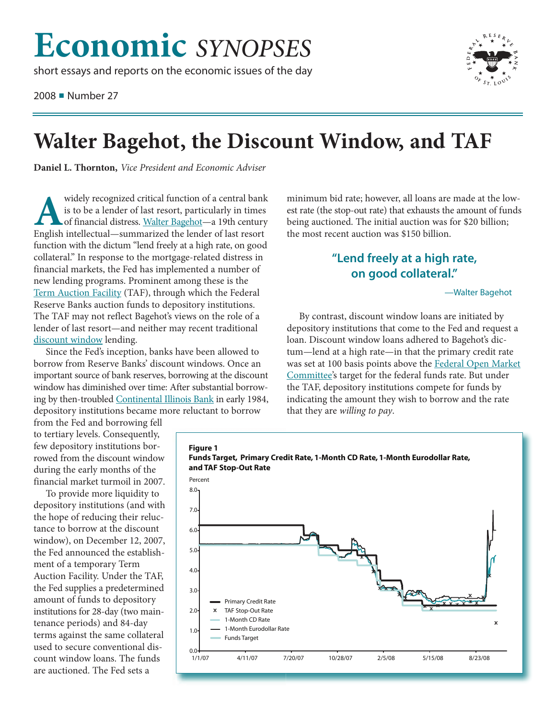# **Economic** *SYNOPSES*

short essays and reports on the economic issues of the day

2008 ■ Number 27



# **Walter Bagehot, the Discount Window, and TAF**

**Daniel L. Thornton,** *Vice President and Economic Adviser*

widely recognized critical function of a central bank<br>is to be a lender of last resort, particularly in times<br>of financial distress. Walter Bagehot—a 19th century<br>Fright intellectual—summarized the lender of last resort is to be a lender of last resort, particularly in times of financial distress. [Walter Bagehot—](http://www.nndb.com/people/189/000100886/)a 19th century English intellectual—summarized the lender of last resort function with the dictum "lend freely at a high rate, on good collateral." In response to the mortgage-related distress in financial markets, the Fed has implemented a number of new lending programs. Prominent among these is the [Term Auction Facility](http://research.stlouisfed.org/publications/mt/20080301/cover.pdf) (TAF), through which the Federal Reserve Banks auction funds to depository institutions. The TAF may not reflect Bagehot's views on the role of a lender of last resort—and neither may recent traditional [discount window](http://www.newyorkfed.org/banking/discountwindow.html) lending.

Since the Fed's inception, banks have been allowed to borrow from Reserve Banks' discount windows. Once an important source of bank reserves, borrowing at the discount window has diminished over time: After substantial borrowing by then-troubled [Continental Illinois Bank](http://en.wikipedia.org/wiki/Continental_Illinois_National_Bank_and_Trust_Company) in early 1984, depository institutions became more reluctant to borrow

from the Fed and borrowing fell to tertiary levels. Consequently, few depository institutions borrowed from the discount window during the early months of the financial market turmoil in 2007.

To provide more liquidity to depository institutions (and with the hope of reducing their reluctance to borrow at the discount window), on December 12, 2007, the Fed announced the establishment of a temporary Term Auction Facility. Under the TAF, the Fed supplies a predetermined amount of funds to depository institutions for 28-day (two maintenance periods) and 84-day terms against the same collateral used to secure conventional discount window loans. The funds are auctioned. The Fed sets a

minimum bid rate; however, all loans are made at the lowest rate (the stop-out rate) that exhausts the amount of funds being auctioned. The initial auction was for \$20 billion; the most recent auction was \$150 billion.

## **"Lend freely at a high rate, on good collateral."**

### —Walter Bagehot

By contrast, discount window loans are initiated by depository institutions that come to the Fed and request a loan. Discount window loans adhered to Bagehot's dictum—lend at a high rate—in that the primary credit rate was set at 100 basis points above the [Federal Open Market](http://www.federalreserve.gov/monetarypolicy/fomc.htm) [Committee'](http://www.federalreserve.gov/monetarypolicy/fomc.htm)s target for the federal funds rate. But under the TAF, depository institutions compete for funds by indicating the amount they wish to borrow and the rate that they are *willing to pay*.